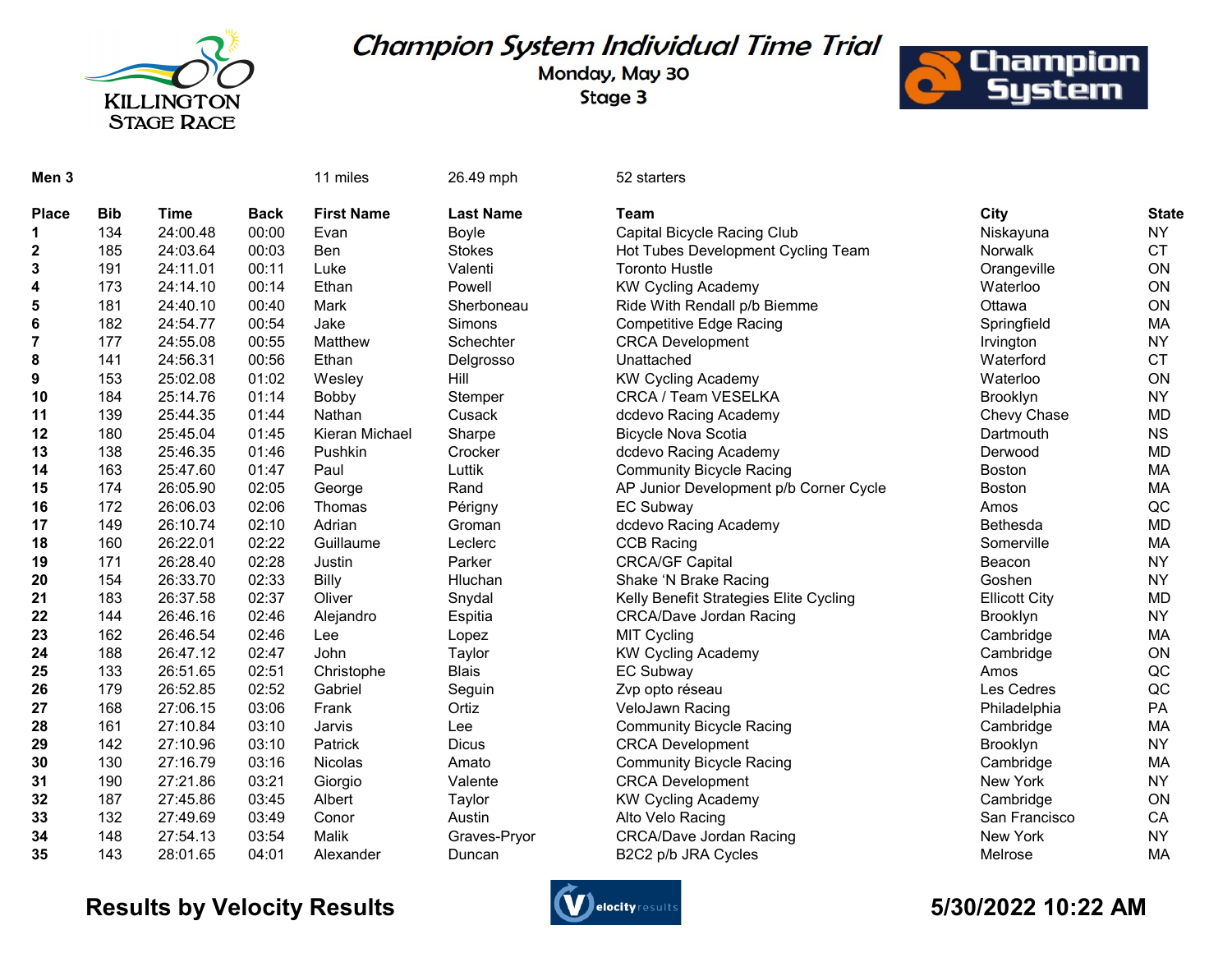

## Champion System Individual Time Trial

Monday, May 30 Stage 3



| Men <sub>3</sub> |            |          |             | 11 miles          | 26.49 mph        | 52 starters                            |                      |              |
|------------------|------------|----------|-------------|-------------------|------------------|----------------------------------------|----------------------|--------------|
| <b>Place</b>     | <b>Bib</b> | Time     | <b>Back</b> | <b>First Name</b> | <b>Last Name</b> | <b>Team</b>                            | City                 | <b>State</b> |
| 1                | 134        | 24:00.48 | 00:00       | Evan              | Boyle            | Capital Bicycle Racing Club            | Niskayuna            | <b>NY</b>    |
| 2                | 185        | 24:03.64 | 00:03       | <b>Ben</b>        | <b>Stokes</b>    | Hot Tubes Development Cycling Team     | Norwalk              | <b>CT</b>    |
| 3                | 191        | 24:11.01 | 00:11       | Luke              | Valenti          | <b>Toronto Hustle</b>                  | Orangeville          | ON           |
| 4                | 173        | 24:14.10 | 00:14       | Ethan             | Powell           | <b>KW Cycling Academy</b>              | Waterloo             | ON           |
| 5                | 181        | 24:40.10 | 00:40       | Mark              | Sherboneau       | Ride With Rendall p/b Biemme           | Ottawa               | ON           |
| 6                | 182        | 24:54.77 | 00:54       | Jake              | Simons           | <b>Competitive Edge Racing</b>         | Springfield          | MA           |
| 7                | 177        | 24:55.08 | 00:55       | Matthew           | Schechter        | <b>CRCA Development</b>                | Irvington            | <b>NY</b>    |
| 8                | 141        | 24:56.31 | 00:56       | Ethan             | Delgrosso        | Unattached                             | Waterford            | <b>CT</b>    |
| 9                | 153        | 25:02.08 | 01:02       | Wesley            | Hill             | <b>KW Cycling Academy</b>              | Waterloo             | ON           |
| 10               | 184        | 25:14.76 | 01:14       | Bobby             | Stemper          | CRCA / Team VESELKA                    | Brooklyn             | <b>NY</b>    |
| 11               | 139        | 25:44.35 | 01:44       | Nathan            | Cusack           | dcdevo Racing Academy                  | Chevy Chase          | <b>MD</b>    |
| 12               | 180        | 25:45.04 | 01:45       | Kieran Michael    | Sharpe           | <b>Bicycle Nova Scotia</b>             | Dartmouth            | <b>NS</b>    |
| 13               | 138        | 25:46.35 | 01:46       | Pushkin           | Crocker          | dcdevo Racing Academy                  | Derwood              | <b>MD</b>    |
| 14               | 163        | 25:47.60 | 01:47       | Paul              | Luttik           | <b>Community Bicycle Racing</b>        | Boston               | MA           |
| 15               | 174        | 26:05.90 | 02:05       | George            | Rand             | AP Junior Development p/b Corner Cycle | <b>Boston</b>        | MA           |
| 16               | 172        | 26:06.03 | 02:06       | Thomas            | Périgny          | <b>EC Subway</b>                       | Amos                 | QC           |
| 17               | 149        | 26:10.74 | 02:10       | Adrian            | Groman           | dcdevo Racing Academy                  | Bethesda             | <b>MD</b>    |
| 18               | 160        | 26:22.01 | 02:22       | Guillaume         | Leclerc          | <b>CCB Racing</b>                      | Somerville           | <b>MA</b>    |
| 19               | 171        | 26:28.40 | 02:28       | Justin            | Parker           | <b>CRCA/GF Capital</b>                 | Beacon               | <b>NY</b>    |
| 20               | 154        | 26:33.70 | 02:33       | Billy             | Hluchan          | Shake 'N Brake Racing                  | Goshen               | <b>NY</b>    |
| 21               | 183        | 26:37.58 | 02:37       | Oliver            | Snydal           | Kelly Benefit Strategies Elite Cycling | <b>Ellicott City</b> | <b>MD</b>    |
| 22               | 144        | 26:46.16 | 02:46       | Alejandro         | Espitia          | <b>CRCA/Dave Jordan Racing</b>         | Brooklyn             | <b>NY</b>    |
| 23               | 162        | 26:46.54 | 02:46       | Lee               | Lopez            | <b>MIT Cycling</b>                     | Cambridge            | MA           |
| 24               | 188        | 26:47.12 | 02:47       | John              | Taylor           | <b>KW Cycling Academy</b>              | Cambridge            | ON           |
| 25               | 133        | 26:51.65 | 02:51       | Christophe        | <b>Blais</b>     | <b>EC Subway</b>                       | Amos                 | QC           |
| 26               | 179        | 26:52.85 | 02:52       | Gabriel           | Seguin           | Zvp opto réseau                        | Les Cedres           | QC           |
| 27               | 168        | 27:06.15 | 03:06       | Frank             | Ortiz            | VeloJawn Racing                        | Philadelphia         | PA           |
| 28               | 161        | 27:10.84 | 03:10       | Jarvis            | Lee              | <b>Community Bicycle Racing</b>        | Cambridge            | MA           |
| 29               | 142        | 27:10.96 | 03:10       | Patrick           | <b>Dicus</b>     | <b>CRCA Development</b>                | Brooklyn             | <b>NY</b>    |
| 30               | 130        | 27:16.79 | 03:16       | Nicolas           | Amato            | <b>Community Bicycle Racing</b>        | Cambridge            | MA           |
| 31               | 190        | 27:21.86 | 03:21       | Giorgio           | Valente          | <b>CRCA Development</b>                | New York             | <b>NY</b>    |
| 32               | 187        | 27:45.86 | 03:45       | Albert            | Taylor           | <b>KW Cycling Academy</b>              | Cambridge            | ON           |
| 33               | 132        | 27:49.69 | 03:49       | Conor             | Austin           | Alto Velo Racing                       | San Francisco        | CA           |
| 34               | 148        | 27:54.13 | 03:54       | Malik             | Graves-Pryor     | <b>CRCA/Dave Jordan Racing</b>         | New York             | <b>NY</b>    |
| 35               | 143        | 28:01.65 | 04:01       | Alexander         | Duncan           | B2C2 p/b JRA Cycles                    | Melrose              | MA           |

## Results by Velocity Results **Controllers** and the second services of the State of the State of the State of the S